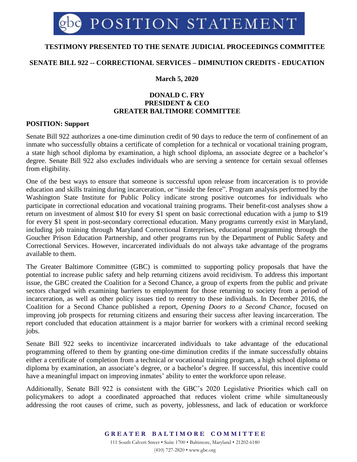# **TESTIMONY PRESENTED TO THE SENATE JUDICIAL PROCEEDINGS COMMITTEE**

## **SENATE BILL 922 -- CORRECTIONAL SERVICES – DIMINUTION CREDITS - EDUCATION**

## **March 5, 2020**

### **DONALD C. FRY PRESIDENT & CEO GREATER BALTIMORE COMMITTEE**

#### **POSITION: Support**

Senate Bill 922 authorizes a one-time diminution credit of 90 days to reduce the term of confinement of an inmate who successfully obtains a certificate of completion for a technical or vocational training program, a state high school diploma by examination, a high school diploma, an associate degree or a bachelor's degree. Senate Bill 922 also excludes individuals who are serving a sentence for certain sexual offenses from eligibility.

One of the best ways to ensure that someone is successful upon release from incarceration is to provide education and skills training during incarceration, or "inside the fence". Program analysis performed by the Washington State Institute for Public Policy indicate strong positive outcomes for individuals who participate in correctional education and vocational training programs. Their benefit-cost analyses show a return on investment of almost \$10 for every \$1 spent on basic correctional education with a jump to \$19 for every \$1 spent in post-secondary correctional education. Many programs currently exist in Maryland, including job training through Maryland Correctional Enterprises, educational programming through the Goucher Prison Education Partnership, and other programs run by the Department of Public Safety and Correctional Services. However, incarcerated individuals do not always take advantage of the programs available to them.

The Greater Baltimore Committee (GBC) is committed to supporting policy proposals that have the potential to increase public safety and help returning citizens avoid recidivism. To address this important issue, the GBC created the Coalition for a Second Chance, a group of experts from the public and private sectors charged with examining barriers to employment for those returning to society from a period of incarceration, as well as other policy issues tied to reentry to these individuals. In December 2016, the Coalition for a Second Chance published a report, *Opening Doors to a Second Chance,* focused on improving job prospects for returning citizens and ensuring their success after leaving incarceration. The report concluded that education attainment is a major barrier for workers with a criminal record seeking jobs.

Senate Bill 922 seeks to incentivize incarcerated individuals to take advantage of the educational programming offered to them by granting one-time diminution credits if the inmate successfully obtains either a certificate of completion from a technical or vocational training program, a high school diploma or diploma by examination, an associate's degree, or a bachelor's degree. If successful, this incentive could have a meaningful impact on improving inmates' ability to enter the workforce upon release.

Additionally, Senate Bill 922 is consistent with the GBC's 2020 Legislative Priorities which call on policymakers to adopt a coordinated approached that reduces violent crime while simultaneously addressing the root causes of crime, such as poverty, joblessness, and lack of education or workforce

> **G R E A T E R B A L T I M O R E C O M M I T T E E** 111 South Calvert Street • Suite 1700 • Baltimore, Maryland • 21202-6180 (410) 727-2820 • www.gbc.org